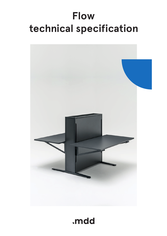# **Flow technical specification**



## .mdd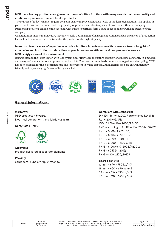#### **MDD has a leading position among manufacturers of office furniture with many awards that prove quality and continuously increase demand for it`s products.**

The realities of today`s market require constant quality improvement at all levels of modern organization. This applies in particular to customer service, marketing, quality of products and also to quality of processes within the company. Partnership relations among employees and with business partners form a base of economic growth and success of the company.

Constant investments in innovative machinery park, optimization of managment systems and an expansion of production halls allow to minimize the lead times for the product of the highest quality.

#### **More than twenty years of experience in office furniture industry come with reference from a long list of companies and institutions to show their appreciation for an efficient and comprehensive service. MDD is higly aware of the environment.**

Being located in the forest region with lake by it1s side, MDD takes the nature seriously and invests constantly in a modern and energy-efficient solutions to preserve the local life. Company puts emphasis on waste segregation and recycling. MDD has been awarded for the exceptional care and involvement in waste disposal. All materials used are environmentally friendly and enjoy a high 95 % rate of being recycled.



#### **General informations:**

#### **Warranty :**

MDD products **– 5 years**. Electrical components and fabric **– 2 years**.

**Certyficate - MFC:**



**Assembly:** product delivered in separate elements

#### **Packing :**

cardboard, bubble wrap, stretch foil

#### **Compliant with standards:**

DIN EN 13849-1:2007, Performance Level B; RoSH 2011/65/UE; LVD; EU Directive 2006/95/EC; EMC according to EU Directive 2004/108/EC; PN-EN 55014-1:2017-06; PN-EN 55014-2:2015-06; PN-EN 60204-1:2010P; PN-EN 61000-1-2:2016-11; PN-EN 61000-6-3:2008/A1:2012; PN-EN 60335-1:2012; PN-EN-ISO-12100\_2012P

#### **Boards density:**

12 mm - 690 - 750 kg/m3 18 mm - 650 - 690 kg/m3 28 mm - 610 - 630 kg/m3 36 mm - 610 - 630 kg/m3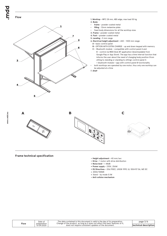

- **1. Worktop** MFC 28 mm, ABS edge, max load 50 kg
- **2. Body:**
- frame powder coated metal
- filling 12mm melamine plate
- fixed body dimensions for all the worktop sizes
- **3. Frame** powder coated metal
- **4. Foot -** powder coated metal
- **5. Leveling** 5 mm range
- **6. Electrical height adjustment** 650 1300 mm range:
	- **A** basic control panel
	- **B** OPTION WITH EXTRA CHARGE up and down keypad with memory  **C -** Bluetooth module - compatible with control panel A and
	- B control via MDD Desk BT application (downloadable from Google Play or App Store). The app has a time interval function that informs the user about the need of changing body position (from sitting to standing or standing to sitting); control panel A + bluetooth module = app with control panel B functionality
- both worktops are operated by one motor, thus only one worktop can be adjusted at a time

**7. Shelf**



**Frame technical specification**

**Flow**

**www.mdd.eu**

- **Height adjustment** 40 mm/sec
- **Drive** 1 motor with drive distribution
- **Noise level** < 48dB
- **Power supply** 230V, 256W
- **EU Directives -** 206/95EC, UI508 1999, UL 1004 R7 06, WE DC
- 2004/108WE
- Stand by mode 0.1W
- **Anti colision mechanism**

| Date of     | The data contained in this document is valid in the day of its preparation.    |
|-------------|--------------------------------------------------------------------------------|
| preparation | Change of the product, as long as it does not affect the basic features of it. |
| 07.09.2020  | does not require consistent updates of the document.                           |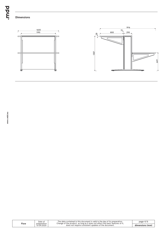

### **Dimensions**



| Flow | Date of<br>preparation<br>07.09.2020 | The data contained in this document is valid in the day of its preparation.<br>Change of the product, as long as it does not affect the basic features of it,<br>does not require consistent updates of the document. | page 4/6        |
|------|--------------------------------------|-----------------------------------------------------------------------------------------------------------------------------------------------------------------------------------------------------------------------|-----------------|
|      |                                      |                                                                                                                                                                                                                       | dimensions (mm) |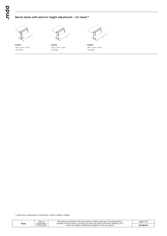#### **Bench desks with electric height adjustment - sit-stand \***



1400 / 1900 / 1300 **FLW14** 104.76 kg



1600 / 1900 / 1300 **FLW16** 114.18 kg



1800 / 1900 / 1300 **FLW18** 116.42 kg

\* dimensions expressed in millimeters: width x depth x height

| Flow | Date of<br>preparation<br>07.09.2020 | The data contained in this document is valid in the day of its preparation.<br>Change of the product, as long as it does not affect the basic features of it.<br>does not require consistent updates of the document. | page 5/6 |
|------|--------------------------------------|-----------------------------------------------------------------------------------------------------------------------------------------------------------------------------------------------------------------------|----------|
|      |                                      |                                                                                                                                                                                                                       | products |